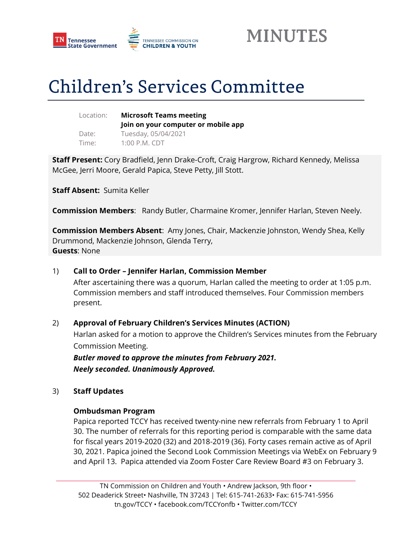



# **Children's Services Committee**

| Location: |  |
|-----------|--|
| Date:     |  |
| Time:     |  |

**Microsoft Teams meeting Join on your computer or mobile app**  Tuesday, 05/04/2021 1:00 P.M. CDT

**Staff Present:** Cory Bradfield, Jenn Drake-Croft, Craig Hargrow, Richard Kennedy, Melissa McGee, Jerri Moore, Gerald Papica, Steve Petty, Jill Stott.

**Staff Absent:** Sumita Keller

**Commission Members**: Randy Butler, Charmaine Kromer, Jennifer Harlan, Steven Neely.

**Commission Members Absent**: Amy Jones, Chair, Mackenzie Johnston, Wendy Shea, Kelly Drummond, Mackenzie Johnson, Glenda Terry, **Guests**: None

### 1) **Call to Order – Jennifer Harlan, Commission Member**

After ascertaining there was a quorum, Harlan called the meeting to order at 1:05 p.m. Commission members and staff introduced themselves. Four Commission members present.

### 2) **Approval of February Children's Services Minutes (ACTION)**

Harlan asked for a motion to approve the Children's Services minutes from the February Commission Meeting.

*Butler moved to approve the minutes from February 2021. Neely seconded. Unanimously Approved.*

### 3) **Staff Updates**

### **Ombudsman Program**

Papica reported TCCY has received twenty-nine new referrals from February 1 to April 30. The number of referrals for this reporting period is comparable with the same data for fiscal years 2019-2020 (32) and 2018-2019 (36). Forty cases remain active as of April 30, 2021. Papica joined the Second Look Commission Meetings via WebEx on February 9 and April 13. Papica attended via Zoom Foster Care Review Board #3 on February 3.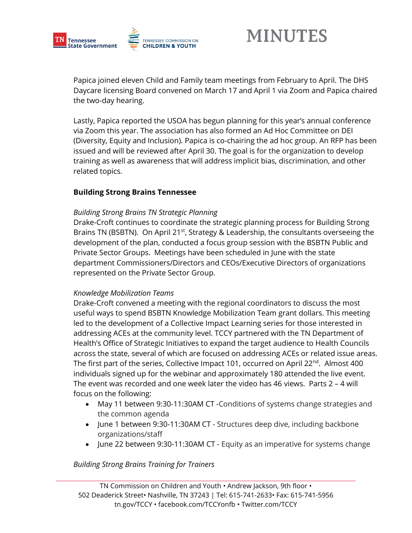

Papica joined eleven Child and Family team meetings from February to April. The DHS Daycare licensing Board convened on March 17 and April 1 via Zoom and Papica chaired the two-day hearing.

Lastly, Papica reported the USOA has begun planning for this year's annual conference via Zoom this year. The association has also formed an Ad Hoc Committee on DEI (Diversity, Equity and Inclusion). Papica is co-chairing the ad hoc group. An RFP has been issued and will be reviewed after April 30. The goal is for the organization to develop training as well as awareness that will address implicit bias, discrimination, and other related topics.

### **Building Strong Brains Tennessee**

### *Building Strong Brains TN Strategic Planning*

Drake-Croft continues to coordinate the strategic planning process for Building Strong Brains TN (BSBTN). On April 21<sup>st</sup>, Strategy & Leadership, the consultants overseeing the development of the plan, conducted a focus group session with the BSBTN Public and Private Sector Groups. Meetings have been scheduled in June with the state department Commissioners/Directors and CEOs/Executive Directors of organizations represented on the Private Sector Group.

### *Knowledge Mobilization Teams*

Drake-Croft convened a meeting with the regional coordinators to discuss the most useful ways to spend BSBTN Knowledge Mobilization Team grant dollars. This meeting led to the development of a Collective Impact Learning series for those interested in addressing ACEs at the community level. TCCY partnered with the TN Department of Health's Office of Strategic Initiatives to expand the target audience to Health Councils across the state, several of which are focused on addressing ACEs or related issue areas. The first part of the series, Collective Impact 101, occurred on April  $22^{nd}$ . Almost 400 individuals signed up for the webinar and approximately 180 attended the live event. The event was recorded and one week later the video has 46 views. Parts 2 – 4 will focus on the following:

- May 11 between 9:30-11:30AM CT -Conditions of systems change strategies and the common agenda
- June 1 between 9:30-11:30AM CT Structures deep dive, including backbone organizations/staff
- June 22 between 9:30-11:30AM CT Equity as an imperative for systems change

## *Building Strong Brains Training for Trainers*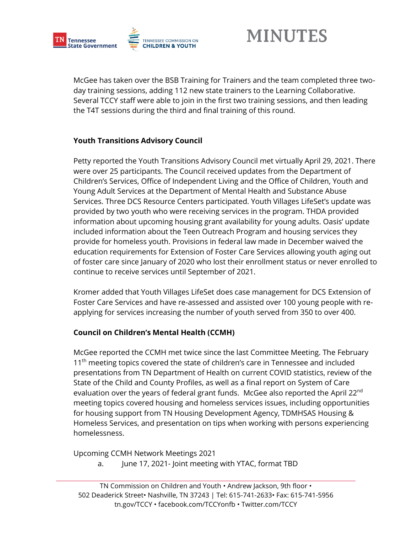

McGee has taken over the BSB Training for Trainers and the team completed three twoday training sessions, adding 112 new state trainers to the Learning Collaborative. Several TCCY staff were able to join in the first two training sessions, and then leading the T4T sessions during the third and final training of this round.

## **Youth Transitions Advisory Council**

Petty reported the Youth Transitions Advisory Council met virtually April 29, 2021. There were over 25 participants. The Council received updates from the Department of Children's Services, Office of Independent Living and the Office of Children, Youth and Young Adult Services at the Department of Mental Health and Substance Abuse Services. Three DCS Resource Centers participated. Youth Villages LifeSet's update was provided by two youth who were receiving services in the program. THDA provided information about upcoming housing grant availability for young adults. Oasis' update included information about the Teen Outreach Program and housing services they provide for homeless youth. Provisions in federal law made in December waived the education requirements for Extension of Foster Care Services allowing youth aging out of foster care since January of 2020 who lost their enrollment status or never enrolled to continue to receive services until September of 2021.

Kromer added that Youth Villages LifeSet does case management for DCS Extension of Foster Care Services and have re-assessed and assisted over 100 young people with reapplying for services increasing the number of youth served from 350 to over 400.

## **Council on Children's Mental Health (CCMH)**

McGee reported the CCMH met twice since the last Committee Meeting. The February 11<sup>th</sup> meeting topics covered the state of children's care in Tennessee and included presentations from TN Department of Health on current COVID statistics, review of the State of the Child and County Profiles, as well as a final report on System of Care evaluation over the years of federal grant funds. McGee also reported the April 22<sup>nd</sup> meeting topics covered housing and homeless services issues, including opportunities for housing support from TN Housing Development Agency, TDMHSAS Housing & Homeless Services, and presentation on tips when working with persons experiencing homelessness.

Upcoming CCMH Network Meetings 2021

a. June 17, 2021- Joint meeting with YTAC, format TBD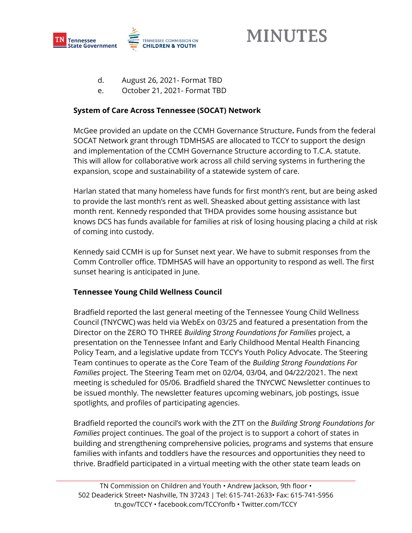

- d. August 26, 2021- Format TBD
- e. October 21, 2021- Format TBD

### **System of Care Across Tennessee (SOCAT) Network**

McGee provided an update on the CCMH Governance Structure**.** Funds from the federal SOCAT Network grant through TDMHSAS are allocated to TCCY to support the design and implementation of the CCMH Governance Structure according to T.C.A. statute. This will allow for collaborative work across all child serving systems in furthering the expansion, scope and sustainability of a statewide system of care.

Harlan stated that many homeless have funds for first month's rent, but are being asked to provide the last month's rent as well. Sheasked about getting assistance with last month rent. Kennedy responded that THDA provides some housing assistance but knows DCS has funds available for families at risk of losing housing placing a child at risk of coming into custody.

Kennedy said CCMH is up for Sunset next year. We have to submit responses from the Comm Controller office. TDMHSAS will have an opportunity to respond as well. The first sunset hearing is anticipated in June.

### **Tennessee Young Child Wellness Council**

Bradfield reported the last general meeting of the Tennessee Young Child Wellness Council (TNYCWC) was held via WebEx on 03/25 and featured a presentation from the Director on the ZERO TO THREE *Building Strong Foundations for Families* project, a presentation on the Tennessee Infant and Early Childhood Mental Health Financing Policy Team, and a legislative update from TCCY's Youth Policy Advocate. The Steering Team continues to operate as the Core Team of the *Building Strong Foundations For Families* project. The Steering Team met on 02/04, 03/04, and 04/22/2021. The next meeting is scheduled for 05/06. Bradfield shared the TNYCWC Newsletter continues to be issued monthly. The newsletter features upcoming webinars, job postings, issue spotlights, and profiles of participating agencies.

Bradfield reported the council's work with the ZTT on the *Building Strong Foundations for Families* project continues. The goal of the project is to support a cohort of states in building and strengthening comprehensive policies, programs and systems that ensure families with infants and toddlers have the resources and opportunities they need to thrive. Bradfield participated in a virtual meeting with the other state team leads on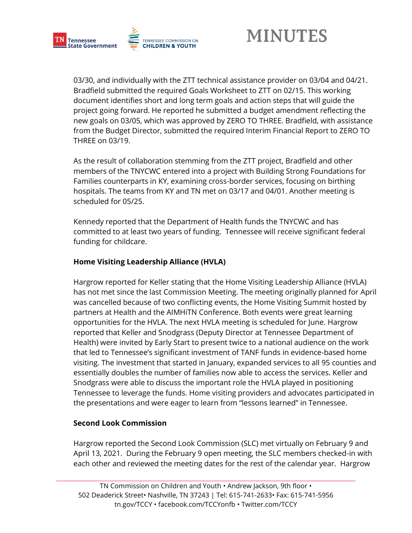

03/30, and individually with the ZTT technical assistance provider on 03/04 and 04/21. Bradfield submitted the required Goals Worksheet to ZTT on 02/15. This working document identifies short and long term goals and action steps that will guide the project going forward. He reported he submitted a budget amendment reflecting the new goals on 03/05, which was approved by ZERO TO THREE. Bradfield, with assistance from the Budget Director, submitted the required Interim Financial Report to ZERO TO THREE on 03/19.

As the result of collaboration stemming from the ZTT project, Bradfield and other members of the TNYCWC entered into a project with Building Strong Foundations for Families counterparts in KY, examining cross-border services, focusing on birthing hospitals. The teams from KY and TN met on 03/17 and 04/01. Another meeting is scheduled for 05/25.

Kennedy reported that the Department of Health funds the TNYCWC and has committed to at least two years of funding. Tennessee will receive significant federal funding for childcare.

### **Home Visiting Leadership Alliance (HVLA)**

Hargrow reported for Keller stating that the Home Visiting Leadership Alliance (HVLA) has not met since the last Commission Meeting. The meeting originally planned for April was cancelled because of two conflicting events, the Home Visiting Summit hosted by partners at Health and the AIMHiTN Conference. Both events were great learning opportunities for the HVLA. The next HVLA meeting is scheduled for June. Hargrow reported that Keller and Snodgrass (Deputy Director at Tennessee Department of Health) were invited by Early Start to present twice to a national audience on the work that led to Tennessee's significant investment of TANF funds in evidence-based home visiting. The investment that started in January, expanded services to all 95 counties and essentially doubles the number of families now able to access the services. Keller and Snodgrass were able to discuss the important role the HVLA played in positioning Tennessee to leverage the funds. Home visiting providers and advocates participated in the presentations and were eager to learn from "lessons learned" in Tennessee.

## **Second Look Commission**

Hargrow reported the Second Look Commission (SLC) met virtually on February 9 and April 13, 2021. During the February 9 open meeting, the SLC members checked-in with each other and reviewed the meeting dates for the rest of the calendar year. Hargrow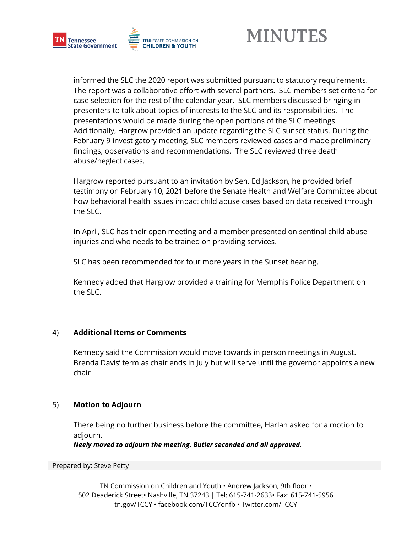

informed the SLC the 2020 report was submitted pursuant to statutory requirements. The report was a collaborative effort with several partners. SLC members set criteria for case selection for the rest of the calendar year. SLC members discussed bringing in presenters to talk about topics of interests to the SLC and its responsibilities. The presentations would be made during the open portions of the SLC meetings. Additionally, Hargrow provided an update regarding the SLC sunset status. During the February 9 investigatory meeting, SLC members reviewed cases and made preliminary findings, observations and recommendations. The SLC reviewed three death abuse/neglect cases.

Hargrow reported pursuant to an invitation by Sen. Ed Jackson, he provided brief testimony on February 10, 2021 before the Senate Health and Welfare Committee about how behavioral health issues impact child abuse cases based on data received through the SLC.

In April, SLC has their open meeting and a member presented on sentinal child abuse injuries and who needs to be trained on providing services.

SLC has been recommended for four more years in the Sunset hearing.

Kennedy added that Hargrow provided a training for Memphis Police Department on the SLC.

### 4) **Additional Items or Comments**

Kennedy said the Commission would move towards in person meetings in August. Brenda Davis' term as chair ends in July but will serve until the governor appoints a new chair

### 5) **Motion to Adjourn**

There being no further business before the committee, Harlan asked for a motion to adjourn.

*Neely moved to adjourn the meeting. Butler seconded and all approved.*

Prepared by: Steve Petty